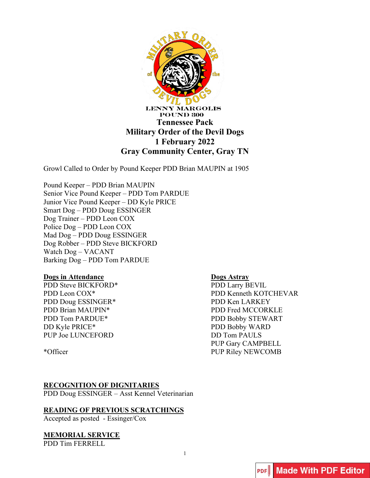

Growl Called to Order by Pound Keeper PDD Brian MAUPIN at 1905

Pound Keeper – PDD Brian MAUPIN Senior Vice Pound Keeper – PDD Tom PARDUE Junior Vice Pound Keeper – DD Kyle PRICE Smart Dog – PDD Doug ESSINGER Dog Trainer – PDD Leon COX Police Dog – PDD Leon COX Mad Dog – PDD Doug ESSINGER Dog Robber – PDD Steve BICKFORD Watch Dog – VACANT Barking Dog – PDD Tom PARDUE

#### **Dogs in Attendance**

PDD Steve BICKFORD\* PDD Leon COX\* PDD Doug ESSINGER\* PDD Brian MAUPIN\* PDD Tom PARDUE\* DD Kyle PRICE\* PUP Joe LUNCEFORD

\*Officer

## **Dogs Astray**

PDD Larry BEVIL PDD Kenneth KOTCHEVAR PDD Ken LARKEY PDD Fred MCCORKLE PDD Bobby STEWART PDD Bobby WARD DD Tom PAULS PUP Gary CAMPBELL PUP Riley NEWCOMB

## **RECOGNITION OF DIGNITARIES**

PDD Doug ESSINGER – Asst Kennel Veterinarian

## **READING OF PREVIOUS SCRATCHINGS**

Accepted as posted - Essinger/Cox

## **MEMORIAL SERVICE**

PDD Tim FERRELL

1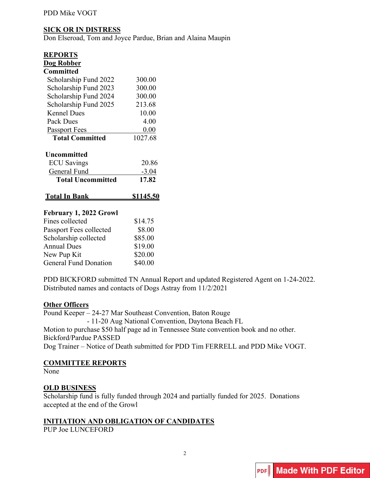## PDD Mike VOGT

## **SICK OR IN DISTRESS**

Don Elseroad, Tom and Joyce Pardue, Brian and Alaina Maupin

| <b>REPORTS</b>           |         |
|--------------------------|---------|
| Dog Robber               |         |
| <b>Committed</b>         |         |
| Scholarship Fund 2022    | 300.00  |
| Scholarship Fund 2023    | 300.00  |
| Scholarship Fund 2024    | 300.00  |
| Scholarship Fund 2025    | 213.68  |
| Kennel Dues              | 10.00   |
| Pack Dues                | 4.00    |
| <b>Passport Fees</b>     | 0.00    |
| <b>Total Committed</b>   | 1027.68 |
| <b>Uncommitted</b>       |         |
| <b>ECU</b> Savings       | 20.86   |
| General Fund             | $-3.04$ |
| <b>Total Uncommitted</b> | 17.82   |
| l`otal In Bank           |         |
|                          |         |

## **February 1, 2022 Growl**

| \$14.75 |
|---------|
| \$8.00  |
| \$85.00 |
| \$19.00 |
| \$20.00 |
| \$40.00 |
|         |

PDD BICKFORD submitted TN Annual Report and updated Registered Agent on 1-24-2022. Distributed names and contacts of Dogs Astray from 11/2/2021

#### **Other Officers**

Pound Keeper – 24-27 Mar Southeast Convention, Baton Rouge - 11-20 Aug National Convention, Daytona Beach FL Motion to purchase \$50 half page ad in Tennessee State convention book and no other. Bickford/Pardue PASSED Dog Trainer – Notice of Death submitted for PDD Tim FERRELL and PDD Mike VOGT.

## **COMMITTEE REPORTS**

None

## **OLD BUSINESS**

Scholarship fund is fully funded through 2024 and partially funded for 2025. Donations accepted at the end of the Growl

## **INITIATION AND OBLIGATION OF CANDIDATES**

PUP Joe LUNCEFORD